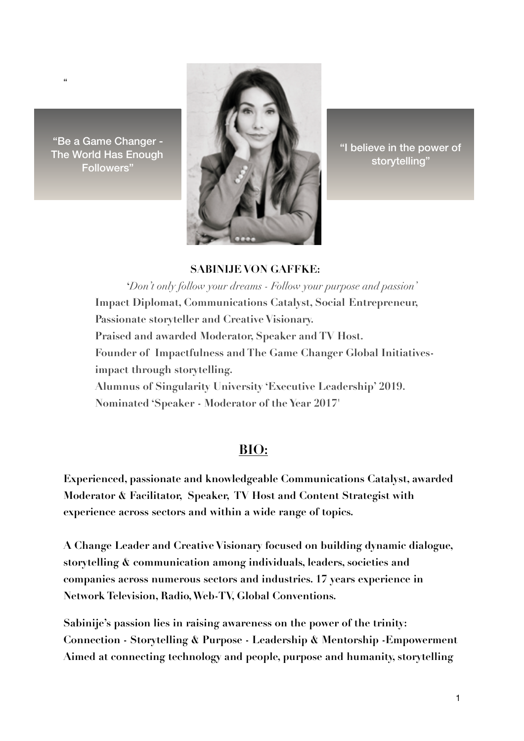"Be a Game Changer -The World Has Enough **Followers**"

 $\alpha$ 



"I believe in the power of storytelling"

## **SABINLIE VON GAFFKE:**

*'Don't only follow your dreams - Follow your purpose and passion'* **Impact Diplomat, Communications Catalyst, Social Entrepreneur,** Passionate storyteller and Creative Visionary. Praised and awarded Moderator, Speaker and TV Host. Founder of Impactfulness and The Game Changer Global Initiativesimpact through storytelling. Alumnus of Singularity University 'Executive Leadership' 2019. Nominated 'Speaker - Moderator of the Year 2017'

## BIO:

Experienced, passionate and knowledgeable Communications Catalyst, awarded Moderator & Facilitator, Speaker, TV Host and Content Strategist with experience across sectors and within a wide range of topics.

A Change Leader and Creative Visionary focused on building dynamic dialogue, storytelling & communication among individuals, leaders, societies and companies across numerous sectors and industries. 17 years experience in Network Television, Radio, Web-TV, Global Conventions.

Sabinije's passion lies in raising awareness on the power of the trinity: Connection - Storytelling & Purpose - Leadership & Mentorship - Empowerment Aimed at connecting technology and people, purpose and humanity, storytelling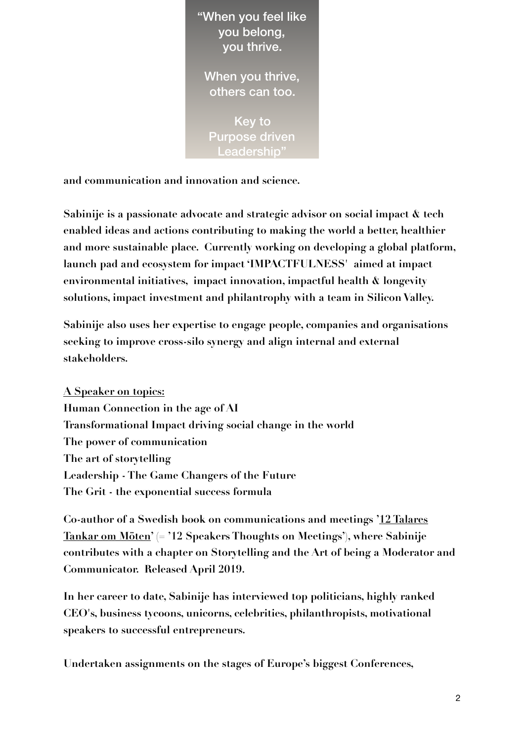

Key to **Purpose driven** Leadership"

and communication and innovation and science.

Sabinije is a passionate advocate and strategic advisor on social impact & tech enabled ideas and actions contributing to making the world a better, healthier and more sustainable place. Currently working on developing a global platform, launch pad and ecosystem for impact 'IMPACTFULNESS' aimed at impact environmental initiatives, impact innovation, impactful health & longevity solutions, impact investment and philantrophy with a team in Silicon Valley.

Sabinije also uses her expertise to engage people, companies and organisations seeking to improve cross-silo synergy and align internal and external stakeholders.

A Speaker on topics: Human Connection in the age of AI Transformational Impact driving social change in the world The power of communication The art of storytelling Leadership - The Game Changers of the Future The Grit - the exponential success formula

Co-author of a Swedish book on communications and meetings '12 Talares  $Tankar$  om Möten' (= '12 Speakers Thoughts on Meetings'), where Sabinije contributes with a chapter on Storytelling and the Art of being a Moderator and Communicator. Released April 2019.

In her career to date, Sabinije has interviewed top politicians, highly ranked CEO's, business tycoons, unicorns, celebrities, philanthropists, motivational speakers to successful entrepreneurs.

Undertaken assignments on the stages of Europe's biggest Conferences,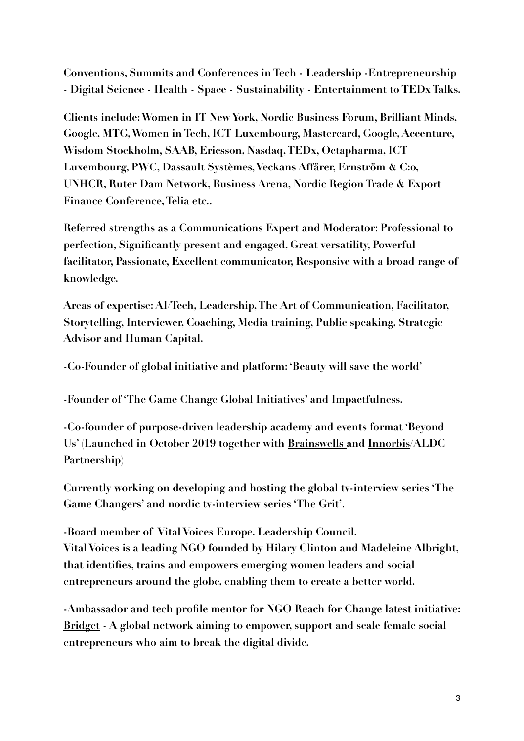Conventions, Summits and Conferences in Tech - Leadership - Entrepreneurship - Digital Science - Health - Space - Sustainability - Entertainment to TEDx Talks.

Clients include: Women in IT New York, Nordic Business Forum, Brilliant Minds, Google, MTG, Women in Tech, ICT Luxembourg, Mastercard, Google, Accenture, Wisdom Stockholm, SAAB, Ericsson, Nasdaq, TEDx, Octapharma, ICT Luxembourg, PWC, Dassault Systèmes, Veckans Affärer, Ernström & C:o, UNHCR, Ruter Dam Network, Business Arena, Nordic Region Trade & Export Finance Conference, Telia etc..

Referred strengths as a Communications Expert and Moderator: Professional to perfection, Significantly present and engaged, Great versatility, Powerful facilitator, Passionate, Excellent communicator, Responsive with a broad range of knowledge.

Areas of expertise: AI/Tech, Leadership, The Art of Communication, Facilitator, Storytelling, Interviewer, Coaching, Media training, Public speaking, Strategic **Advisor and Human Capital.** 

-Co-Founder of global initiative and platform: 'Beauty will save the world'

-Founder of 'The Game Change Global Initiatives' and Impactfulness.

-Co-founder of purpose-driven leadership academy and events format 'Beyond Us' (Launched in October 2019 together with Brainswells and Innorbis/ALDC Partnership)

Currently working on developing and hosting the global tv-interview series The Game Changers' and nordic tv-interview series 'The Grit'.

-Board member of Vital Voices Europe. Leadership Council. Vital Voices is a leading NGO founded by Hilary Clinton and Madeleine Albright, that identifies, trains and empowers emerging women leaders and social entrepreneurs around the globe, enabling them to create a better world.

-Ambassador and tech profile mentor for NGO Reach for Change latest initiative: Bridget - A global network aiming to empower, support and scale female social entrepreneurs who aim to break the digital divide.